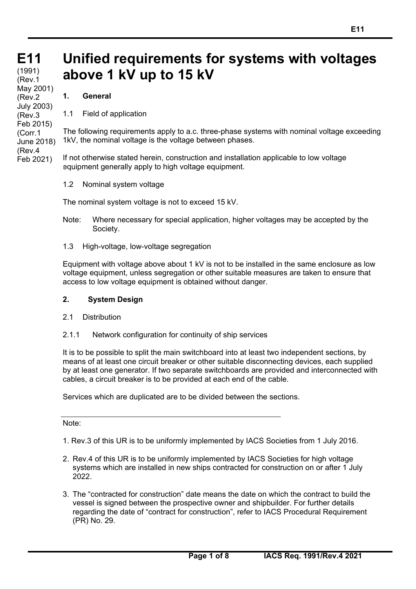# **Unified requirements for systems with voltages above 1 kV up to 15 kV**

**1. General** 

1.1 Field of application

The following requirements apply to a.c. three-phase systems with nominal voltage exceeding 1kV, the nominal voltage is the voltage between phases.

If not otherwise stated herein, construction and installation applicable to low voltage equipment generally apply to high voltage equipment.

1.2 Nominal system voltage

The nominal system voltage is not to exceed 15 kV.

- Note: Where necessary for special application, higher voltages may be accepted by the Society.
- 1.3 High-voltage, low-voltage segregation

Equipment with voltage above about 1 kV is not to be installed in the same enclosure as low voltage equipment, unless segregation or other suitable measures are taken to ensure that access to low voltage equipment is obtained without danger.

#### **2. System Design**

- 2.1 Distribution
- 2.1.1 Network configuration for continuity of ship services

It is to be possible to split the main switchboard into at least two independent sections, by means of at least one circuit breaker or other suitable disconnecting devices, each supplied by at least one generator. If two separate switchboards are provided and interconnected with cables, a circuit breaker is to be provided at each end of the cable.

Services which are duplicated are to be divided between the sections.

Note:

 $\overline{a}$ 

- 1. Rev.3 of this UR is to be uniformly implemented by IACS Societies from 1 July 2016.
- 2. Rev.4 of this UR is to be uniformly implemented by IACS Societies for high voltage systems which are installed in new ships contracted for construction on or after 1 July 2022.
- 3. The "contracted for construction" date means the date on which the contract to build the vessel is signed between the prospective owner and shipbuilder. For further details regarding the date of "contract for construction", refer to IACS Procedural Requirement (PR) No. 29.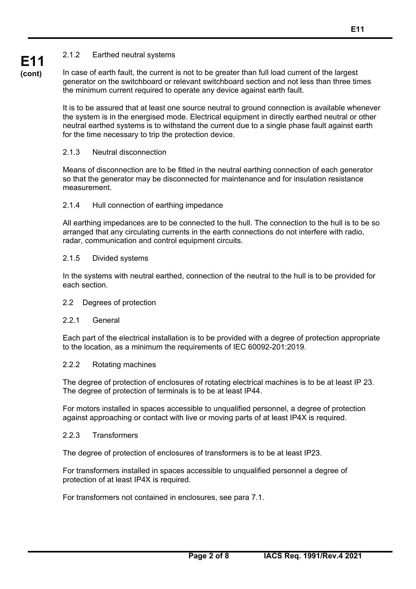## 2.1.2 Earthed neutral systems

**E11 (cont)**

In case of earth fault, the current is not to be greater than full load current of the largest generator on the switchboard or relevant switchboard section and not less than three times the minimum current required to operate any device against earth fault.

It is to be assured that at least one source neutral to ground connection is available whenever the system is in the energised mode. Electrical equipment in directly earthed neutral or other neutral earthed systems is to withstand the current due to a single phase fault against earth for the time necessary to trip the protection device.

#### 2.1.3 Neutral disconnection

Means of disconnection are to be fitted in the neutral earthing connection of each generator so that the generator may be disconnected for maintenance and for insulation resistance measurement.

#### 2.1.4 Hull connection of earthing impedance

All earthing impedances are to be connected to the hull. The connection to the hull is to be so arranged that any circulating currents in the earth connections do not interfere with radio, radar, communication and control equipment circuits.

#### 2.1.5 Divided systems

In the systems with neutral earthed, connection of the neutral to the hull is to be provided for each section.

#### 2.2 Degrees of protection

#### 2.2.1 General

Each part of the electrical installation is to be provided with a degree of protection appropriate to the location, as a minimum the requirements of IEC 60092-201:2019.

#### 2.2.2 Rotating machines

The degree of protection of enclosures of rotating electrical machines is to be at least IP 23. The degree of protection of terminals is to be at least IP44.

For motors installed in spaces accessible to unqualified personnel, a degree of protection against approaching or contact with live or moving parts of at least IP4X is required.

#### 2.2.3 Transformers

 $\overline{a}$ 

The degree of protection of enclosures of transformers is to be at least IP23.

For transformers installed in spaces accessible to unqualified personnel a degree of protection of at least IP4X is required.

For transformers not contained in enclosures, see para 7.1.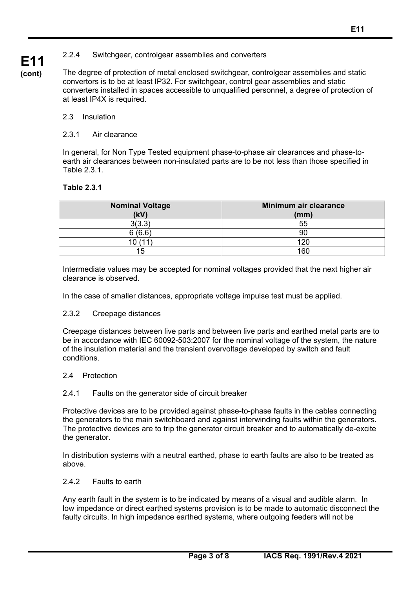**E11 (cont)**

The degree of protection of metal enclosed switchgear, controlgear assemblies and static convertors is to be at least IP32. For switchgear, control gear assemblies and static converters installed in spaces accessible to unqualified personnel, a degree of protection of at least IP4X is required.

## 2.3 Insulation

### 2.3.1 Air clearance

In general, for Non Type Tested equipment phase-to-phase air clearances and phase-toearth air clearances between non-insulated parts are to be not less than those specified in Table 2.3.1.

## **Table 2.3.1**

| <b>Nominal Voltage</b><br>(kV) | <b>Minimum air clearance</b><br>(mm) |
|--------------------------------|--------------------------------------|
| 3(3.3)                         | 55                                   |
| 6(6.6)                         | 90                                   |
|                                | 120                                  |
| 15                             | 160                                  |

Intermediate values may be accepted for nominal voltages provided that the next higher air clearance is observed.

In the case of smaller distances, appropriate voltage impulse test must be applied.

#### 2.3.2 Creepage distances

Creepage distances between live parts and between live parts and earthed metal parts are to be in accordance with IEC 60092-503:2007 for the nominal voltage of the system, the nature of the insulation material and the transient overvoltage developed by switch and fault conditions.

#### 2.4 Protection

#### 2.4.1 Faults on the generator side of circuit breaker

Protective devices are to be provided against phase-to-phase faults in the cables connecting the generators to the main switchboard and against interwinding faults within the generators. The protective devices are to trip the generator circuit breaker and to automatically de-excite the generator.

In distribution systems with a neutral earthed, phase to earth faults are also to be treated as above.

#### 2.4.2 Faults to earth

 $\overline{a}$ 

Any earth fault in the system is to be indicated by means of a visual and audible alarm. In low impedance or direct earthed systems provision is to be made to automatic disconnect the faulty circuits. In high impedance earthed systems, where outgoing feeders will not be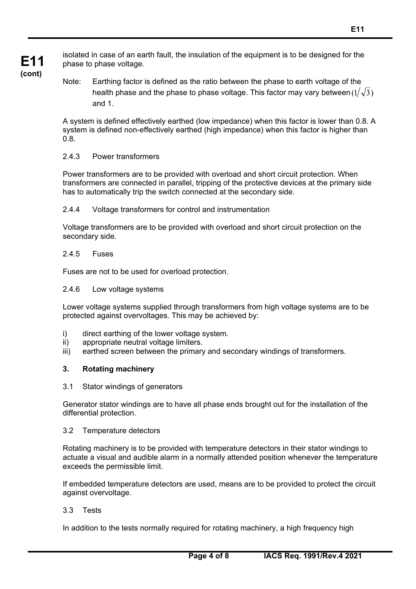**(cont)**

isolated in case of an earth fault, the insulation of the equipment is to be designed for the phase to phase voltage.

Note: Earthing factor is defined as the ratio between the phase to earth voltage of the health phase and the phase to phase voltage. This factor may vary between  $(1/\sqrt{3})$ and 1.

A system is defined effectively earthed (low impedance) when this factor is lower than 0.8. A system is defined non-effectively earthed (high impedance) when this factor is higher than 0.8.

# 2.4.3 Power transformers

Power transformers are to be provided with overload and short circuit protection. When transformers are connected in parallel, tripping of the protective devices at the primary side has to automatically trip the switch connected at the secondary side.

# 2.4.4 Voltage transformers for control and instrumentation

Voltage transformers are to be provided with overload and short circuit protection on the secondary side.

# 2.4.5 Fuses

Fuses are not to be used for overload protection.

# 2.4.6 Low voltage systems

Lower voltage systems supplied through transformers from high voltage systems are to be protected against overvoltages. This may be achieved by:

- i) direct earthing of the lower voltage system.
- ii) appropriate neutral voltage limiters.
- iii) earthed screen between the primary and secondary windings of transformers.

# **3. Rotating machinery**

3.1 Stator windings of generators

Generator stator windings are to have all phase ends brought out for the installation of the differential protection.

## 3.2 Temperature detectors

Rotating machinery is to be provided with temperature detectors in their stator windings to actuate a visual and audible alarm in a normally attended position whenever the temperature exceeds the permissible limit.

If embedded temperature detectors are used, means are to be provided to protect the circuit against overvoltage.

# 3.3 Tests

 $\overline{a}$ 

In addition to the tests normally required for rotating machinery, a high frequency high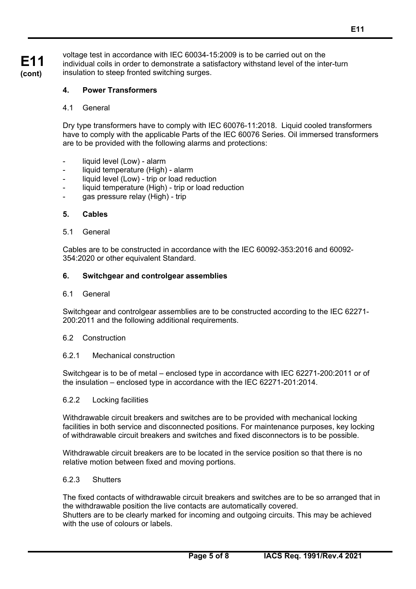**E11 (cont)**

voltage test in accordance with IEC 60034-15:2009 is to be carried out on the individual coils in order to demonstrate a satisfactory withstand level of the inter-turn insulation to steep fronted switching surges.

#### **4. Power Transformers**

4.1 General

Dry type transformers have to comply with IEC 60076-11:2018. Liquid cooled transformers have to comply with the applicable Parts of the IEC 60076 Series. Oil immersed transformers are to be provided with the following alarms and protections:

- liquid level (Low) alarm
- liquid temperature (High) alarm
- liquid level (Low) trip or load reduction
- liquid temperature (High) trip or load reduction
- gas pressure relay (High) trip

#### **5. Cables**

5.1 General

Cables are to be constructed in accordance with the IEC 60092-353:2016 and 60092- 354:2020 or other equivalent Standard.

#### **6. Switchgear and controlgear assemblies**

6.1 General

Switchgear and controlgear assemblies are to be constructed according to the IEC 62271- 200:2011 and the following additional requirements.

#### 6.2 Construction

#### 6.2.1 Mechanical construction

Switchgear is to be of metal – enclosed type in accordance with IEC 62271-200:2011 or of the insulation – enclosed type in accordance with the IEC 62271-201:2014.

#### 6.2.2 Locking facilities

Withdrawable circuit breakers and switches are to be provided with mechanical locking facilities in both service and disconnected positions. For maintenance purposes, key locking of withdrawable circuit breakers and switches and fixed disconnectors is to be possible.

Withdrawable circuit breakers are to be located in the service position so that there is no relative motion between fixed and moving portions.

#### 6.2.3 Shutters

 $\overline{a}$ 

The fixed contacts of withdrawable circuit breakers and switches are to be so arranged that in the withdrawable position the live contacts are automatically covered. Shutters are to be clearly marked for incoming and outgoing circuits. This may be achieved with the use of colours or labels.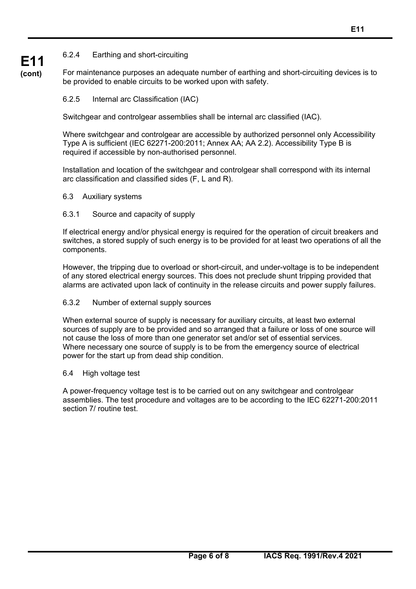## 6.2.4 Earthing and short-circuiting

**E11 (cont)**

For maintenance purposes an adequate number of earthing and short-circuiting devices is to be provided to enable circuits to be worked upon with safety.

## 6.2.5 Internal arc Classification (IAC)

Switchgear and controlgear assemblies shall be internal arc classified (IAC).

Where switchgear and controlgear are accessible by authorized personnel only Accessibility Type A is sufficient (IEC 62271-200:2011; Annex AA; AA 2.2). Accessibility Type B is required if accessible by non-authorised personnel.

Installation and location of the switchgear and controlgear shall correspond with its internal arc classification and classified sides (F, L and R).

#### 6.3 Auxiliary systems

#### 6.3.1 Source and capacity of supply

If electrical energy and/or physical energy is required for the operation of circuit breakers and switches, a stored supply of such energy is to be provided for at least two operations of all the components.

However, the tripping due to overload or short-circuit, and under-voltage is to be independent of any stored electrical energy sources. This does not preclude shunt tripping provided that alarms are activated upon lack of continuity in the release circuits and power supply failures.

#### 6.3.2 Number of external supply sources

When external source of supply is necessary for auxiliary circuits, at least two external sources of supply are to be provided and so arranged that a failure or loss of one source will not cause the loss of more than one generator set and/or set of essential services. Where necessary one source of supply is to be from the emergency source of electrical power for the start up from dead ship condition.

#### 6.4 High voltage test

 $\overline{a}$ 

A power-frequency voltage test is to be carried out on any switchgear and controlgear assemblies. The test procedure and voltages are to be according to the IEC 62271-200:2011 section 7/ routine test.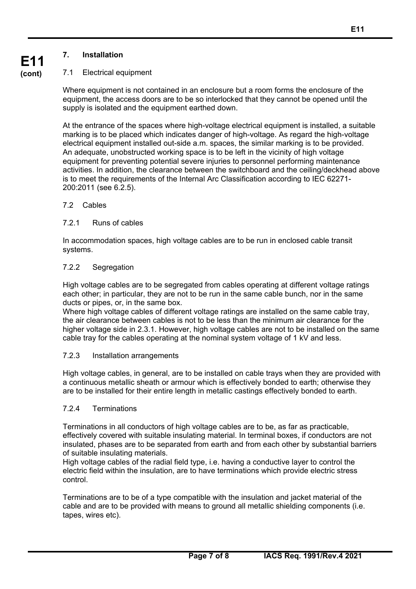## 7.1 Electrical equipment

Where equipment is not contained in an enclosure but a room forms the enclosure of the equipment, the access doors are to be so interlocked that they cannot be opened until the supply is isolated and the equipment earthed down.

At the entrance of the spaces where high-voltage electrical equipment is installed, a suitable marking is to be placed which indicates danger of high-voltage. As regard the high-voltage electrical equipment installed out-side a.m. spaces, the similar marking is to be provided. An adequate, unobstructed working space is to be left in the vicinity of high voltage equipment for preventing potential severe injuries to personnel performing maintenance activities. In addition, the clearance between the switchboard and the ceiling/deckhead above is to meet the requirements of the Internal Arc Classification according to IEC 62271- 200:2011 (see 6.2.5).

#### 7.2 Cables

## 7.2.1 Runs of cables

In accommodation spaces, high voltage cables are to be run in enclosed cable transit systems.

#### 7.2.2 Segregation

High voltage cables are to be segregated from cables operating at different voltage ratings each other; in particular, they are not to be run in the same cable bunch, nor in the same ducts or pipes, or, in the same box.

Where high voltage cables of different voltage ratings are installed on the same cable tray, the air clearance between cables is not to be less than the minimum air clearance for the higher voltage side in 2.3.1. However, high voltage cables are not to be installed on the same cable tray for the cables operating at the nominal system voltage of 1 kV and less.

#### 7.2.3 Installation arrangements

High voltage cables, in general, are to be installed on cable trays when they are provided with a continuous metallic sheath or armour which is effectively bonded to earth; otherwise they are to be installed for their entire length in metallic castings effectively bonded to earth.

#### 7.2.4 Terminations

 $\overline{a}$ 

Terminations in all conductors of high voltage cables are to be, as far as practicable, effectively covered with suitable insulating material. In terminal boxes, if conductors are not insulated, phases are to be separated from earth and from each other by substantial barriers of suitable insulating materials.

High voltage cables of the radial field type, i.e. having a conductive layer to control the electric field within the insulation, are to have terminations which provide electric stress control.

Terminations are to be of a type compatible with the insulation and jacket material of the cable and are to be provided with means to ground all metallic shielding components (i.e. tapes, wires etc).